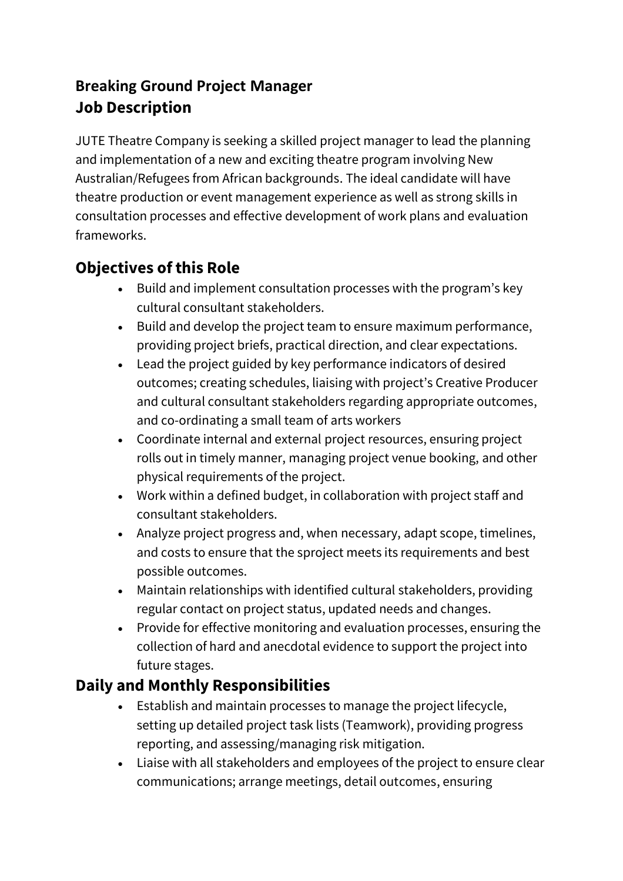## **Breaking Ground Project Manager Job Description**

JUTE Theatre Company is seeking a skilled project manager to lead the planning and implementation of a new and exciting theatre program involving New Australian/Refugees from African backgrounds. The ideal candidate will have theatre production or event management experience as well as strong skills in consultation processes and effective development of work plans and evaluation frameworks.

# **Objectives ofthis Role**

- Build and implement consultation processes with the program's key cultural consultant stakeholders.
- Build and develop the project team to ensure maximum performance, providing project briefs, practical direction, and clear expectations.
- Lead the project guided by key performance indicators of desired outcomes; creating schedules, liaising with project's Creative Producer and cultural consultant stakeholders regarding appropriate outcomes, and co-ordinating a small team of arts workers
- Coordinate internal and external project resources, ensuring project rolls out in timely manner, managing project venue booking, and other physical requirements of the project.
- Work within a defined budget, in collaboration with project staff and consultant stakeholders.
- Analyze project progress and, when necessary, adapt scope, timelines, and costs to ensure that the sproject meets its requirements and best possible outcomes.
- Maintain relationships with identified cultural stakeholders, providing regular contact on project status, updated needs and changes.
- Provide for effective monitoring and evaluation processes, ensuring the collection of hard and anecdotal evidence to support the project into future stages.

#### **Daily and Monthly Responsibilities**

- Establish and maintain processes to manage the project lifecycle, setting up detailed project task lists (Teamwork), providing progress reporting, and assessing/managing risk mitigation.
- Liaise with all stakeholders and employees of the project to ensure clear communications; arrange meetings, detail outcomes, ensuring